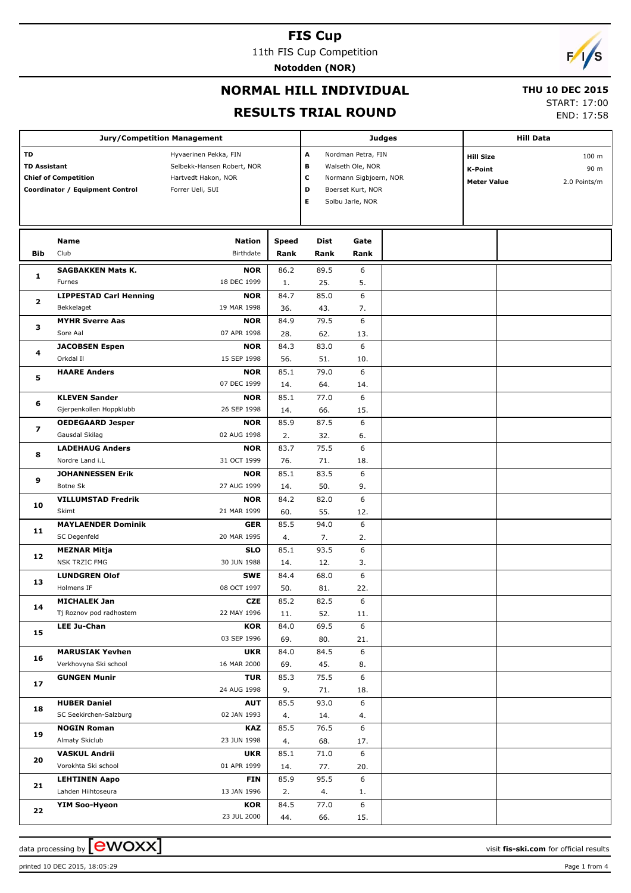11th FIS Cup Competition

**Notodden (NOR)**

# $\sqrt{2}$

# **NORMAL HILL INDIVIDUAL**

#### **THU 10 DEC 2015**

#### **RESULTS TRIAL ROUND**

START: 17:00

END: 17:58

|                         |                                 | <b>Jury/Competition Management</b> |              |                    |                        | <b>Judges</b>    |                    | <b>Hill Data</b> |  |
|-------------------------|---------------------------------|------------------------------------|--------------|--------------------|------------------------|------------------|--------------------|------------------|--|
| TD                      |                                 | Hyvaerinen Pekka, FIN              | A            | Nordman Petra, FIN |                        |                  |                    |                  |  |
| <b>TD Assistant</b>     |                                 | Selbekk-Hansen Robert, NOR         | В            | Walseth Ole, NOR   |                        | <b>Hill Size</b> | 100 m              |                  |  |
|                         | <b>Chief of Competition</b>     | Hartvedt Hakon, NOR                |              | c                  | Normann Sigbjoern, NOR |                  | <b>K-Point</b>     | 90 m             |  |
|                         | Coordinator / Equipment Control | Forrer Ueli, SUI                   |              | D                  | Boerset Kurt, NOR      |                  | <b>Meter Value</b> | 2.0 Points/m     |  |
|                         |                                 |                                    |              | Е                  | Solbu Jarle, NOR       |                  |                    |                  |  |
|                         |                                 |                                    |              |                    |                        |                  |                    |                  |  |
|                         |                                 |                                    |              |                    |                        |                  |                    |                  |  |
|                         | <b>Name</b>                     | <b>Nation</b>                      | <b>Speed</b> | <b>Dist</b>        | Gate                   |                  |                    |                  |  |
| Bib                     | Club                            | Birthdate                          | Rank         | Rank               | Rank                   |                  |                    |                  |  |
|                         |                                 |                                    |              |                    |                        |                  |                    |                  |  |
| 1                       | <b>SAGBAKKEN Mats K.</b>        | <b>NOR</b>                         | 86.2         | 89.5               | 6                      |                  |                    |                  |  |
|                         | Furnes                          | 18 DEC 1999                        | 1.           | 25.                | 5.                     |                  |                    |                  |  |
| 2                       | <b>LIPPESTAD Carl Henning</b>   | <b>NOR</b>                         | 84.7         | 85.0               | 6                      |                  |                    |                  |  |
|                         | Bekkelaget                      | 19 MAR 1998                        | 36.          | 43.                | 7.                     |                  |                    |                  |  |
| з                       | <b>MYHR Sverre Aas</b>          | <b>NOR</b>                         | 84.9         | 79.5               | 6                      |                  |                    |                  |  |
|                         | Sore Aal                        | 07 APR 1998                        | 28.          | 62.                | 13.                    |                  |                    |                  |  |
| 4                       | <b>JACOBSEN Espen</b>           | <b>NOR</b>                         | 84.3         | 83.0               | 6                      |                  |                    |                  |  |
|                         | Orkdal II                       | 15 SEP 1998                        | 56.          | 51.                | 10.                    |                  |                    |                  |  |
| 5                       | <b>HAARE Anders</b>             | <b>NOR</b>                         | 85.1         | 79.0               | 6                      |                  |                    |                  |  |
|                         |                                 | 07 DEC 1999                        | 14.          | 64.                | 14.                    |                  |                    |                  |  |
| 6                       | <b>KLEVEN Sander</b>            | <b>NOR</b>                         | 85.1         | 77.0               | 6                      |                  |                    |                  |  |
|                         | Gjerpenkollen Hoppklubb         | 26 SEP 1998                        | 14.          | 66.                | 15.                    |                  |                    |                  |  |
| $\overline{\mathbf{z}}$ | <b>OEDEGAARD Jesper</b>         | <b>NOR</b>                         | 85.9         | 87.5               | 6                      |                  |                    |                  |  |
| 8                       | Gausdal Skilag                  | 02 AUG 1998                        | 2.           | 32.                | 6.                     |                  |                    |                  |  |
|                         | <b>LADEHAUG Anders</b>          | <b>NOR</b>                         | 83.7         | 75.5               | 6                      |                  |                    |                  |  |
|                         | Nordre Land i.L                 | 31 OCT 1999                        | 76.          | 71.                | 18.                    |                  |                    |                  |  |
|                         | <b>JOHANNESSEN Erik</b>         | <b>NOR</b>                         | 85.1         | 83.5               | 6                      |                  |                    |                  |  |
| 9                       | Botne Sk                        | 27 AUG 1999                        | 14.          | 50.                | 9.                     |                  |                    |                  |  |
| 10                      | <b>VILLUMSTAD Fredrik</b>       | <b>NOR</b>                         | 84.2         | 82.0               | 6                      |                  |                    |                  |  |
|                         | Skimt                           | 21 MAR 1999                        | 60.          | 55.                | 12.                    |                  |                    |                  |  |
| 11                      | <b>MAYLAENDER Dominik</b>       | <b>GER</b>                         | 85.5         | 94.0               | 6                      |                  |                    |                  |  |
|                         | SC Degenfeld                    | 20 MAR 1995                        | 4.           | 7.                 | 2.                     |                  |                    |                  |  |
| 12                      | <b>MEZNAR Mitja</b>             | <b>SLO</b>                         | 85.1         | 93.5               | 6                      |                  |                    |                  |  |
|                         | <b>NSK TRZIC FMG</b>            | 30 JUN 1988                        | 14.          | 12.                | 3.                     |                  |                    |                  |  |
| 13                      | <b>LUNDGREN Olof</b>            | <b>SWE</b>                         | 84.4         | 68.0               | 6                      |                  |                    |                  |  |
|                         | Holmens IF                      | 08 OCT 1997                        | 50.          | 81.                | 22.                    |                  |                    |                  |  |
| 14                      | <b>MICHALEK Jan</b>             | CZE                                | 85.2         | 82.5               | 6                      |                  |                    |                  |  |
|                         | Tj Roznov pod radhostem         | 22 MAY 1996                        | 11.          | 52.                | 11.                    |                  |                    |                  |  |
| 15                      | <b>LEE Ju-Chan</b>              | <b>KOR</b>                         | 84.0         | 69.5               | 6                      |                  |                    |                  |  |
|                         |                                 | 03 SEP 1996                        | 69.          | 80.                | 21.                    |                  |                    |                  |  |
| 16                      | <b>MARUSIAK Yevhen</b>          | <b>UKR</b>                         | 84.0         | 84.5               | 6                      |                  |                    |                  |  |
|                         | Verkhovyna Ski school           | 16 MAR 2000                        | 69.          | 45.                | 8.                     |                  |                    |                  |  |
|                         | <b>GUNGEN Munir</b>             | <b>TUR</b>                         | 85.3         | 75.5               | 6                      |                  |                    |                  |  |
| 17                      |                                 | 24 AUG 1998                        | 9.           | 71.                | 18.                    |                  |                    |                  |  |
|                         | <b>HUBER Daniel</b>             | <b>AUT</b>                         | 85.5         | 93.0               | 6                      |                  |                    |                  |  |
| 18                      | SC Seekirchen-Salzburg          | 02 JAN 1993                        | 4.           | 14.                | 4.                     |                  |                    |                  |  |
|                         | <b>NOGIN Roman</b>              | <b>KAZ</b>                         | 85.5         | 76.5               | 6                      |                  |                    |                  |  |
| 19                      | Almaty Skiclub                  | 23 JUN 1998                        | 4.           | 68.                | 17.                    |                  |                    |                  |  |
|                         | <b>VASKUL Andrii</b>            | <b>UKR</b>                         | 85.1         | 71.0               | 6                      |                  |                    |                  |  |
| 20                      | Vorokhta Ski school             | 01 APR 1999                        | 14.          | 77.                | 20.                    |                  |                    |                  |  |
|                         | <b>LEHTINEN Aapo</b>            | <b>FIN</b>                         | 85.9         | 95.5               | 6                      |                  |                    |                  |  |
| 21                      | Lahden Hiihtoseura              | 13 JAN 1996                        | 2.           | 4.                 | 1.                     |                  |                    |                  |  |
|                         | <b>YIM Soo-Hyeon</b>            | <b>KOR</b>                         | 84.5         | 77.0               | 6                      |                  |                    |                  |  |
| 22                      |                                 | 23 JUL 2000                        | 44.          | 66.                | 15.                    |                  |                    |                  |  |

printed 10 DEC 2015, 18:05:29 Page 1 from 4

data processing by **CWOXX** and the set of the set of the set of the set of the set of the set of the set of the set of the set of the set of the set of the set of the set of the set of the set of the set of the set of the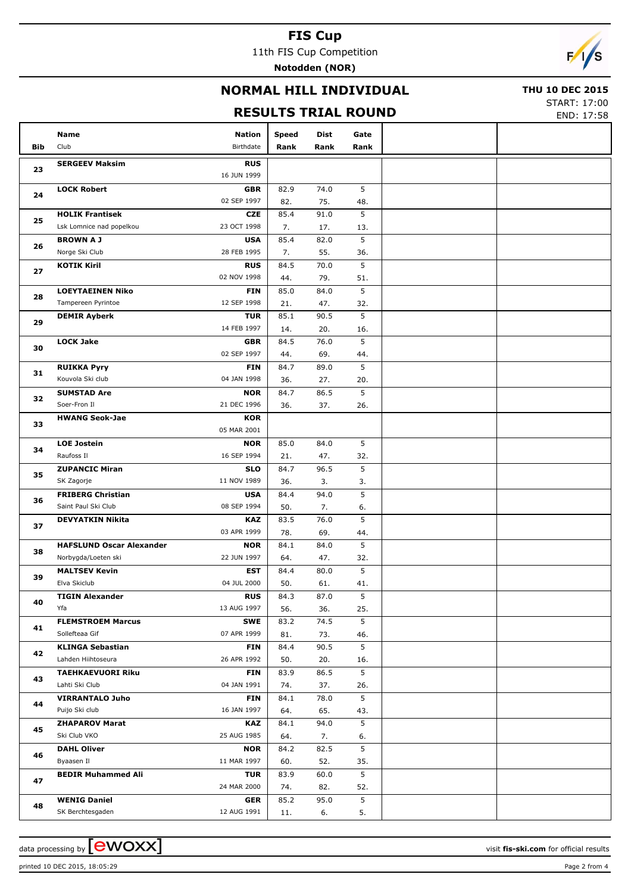11th FIS Cup Competition **Notodden (NOR)**

 $\overline{\phantom{a}}$ 

## **NORMAL HILL INDIVIDUAL**

#### **THU 10 DEC 2015**

## **RESULTS TRIAL ROUND**

START: 17:00 END: 17:58

|     |                                            |                           |             |             | KLYDEIY TRIAL KOOND | END: 17:58 |
|-----|--------------------------------------------|---------------------------|-------------|-------------|---------------------|------------|
|     | Name                                       | Nation                    | Speed       | Dist        | Gate                |            |
| Bib | Club                                       | Birthdate                 | Rank        | Rank        | Rank                |            |
| 23  | <b>SERGEEV Maksim</b>                      | <b>RUS</b><br>16 JUN 1999 |             |             |                     |            |
|     | <b>LOCK Robert</b>                         | <b>GBR</b>                | 82.9        | 74.0        | 5                   |            |
| 24  |                                            | 02 SEP 1997               | 82.         | 75.         | 48.                 |            |
|     | <b>HOLIK Frantisek</b>                     | <b>CZE</b>                | 85.4        | 91.0        | 5                   |            |
| 25  | Lsk Lomnice nad popelkou                   | 23 OCT 1998               | 7.          | 17.         | 13.                 |            |
|     | <b>BROWN A J</b>                           | <b>USA</b>                | 85.4        | 82.0        | 5                   |            |
| 26  | Norge Ski Club                             | 28 FEB 1995               | 7.          | 55.         | 36.                 |            |
|     | <b>KOTIK Kiril</b>                         | <b>RUS</b>                | 84.5        | 70.0        | 5                   |            |
| 27  |                                            | 02 NOV 1998               | 44.         | 79.         | 51.                 |            |
|     | <b>LOEYTAEINEN Niko</b>                    | <b>FIN</b>                | 85.0        | 84.0        | 5                   |            |
| 28  | Tampereen Pyrintoe                         | 12 SEP 1998               | 21.         | 47.         | 32.                 |            |
| 29  | <b>DEMIR Ayberk</b>                        | <b>TUR</b>                | 85.1        | 90.5        | 5                   |            |
|     |                                            | 14 FEB 1997               | 14.         | 20.         | 16.                 |            |
| 30  | <b>LOCK Jake</b>                           | <b>GBR</b>                | 84.5        | 76.0        | 5                   |            |
|     |                                            | 02 SEP 1997               | 44.         | 69.         | 44.                 |            |
| 31  | <b>RUIKKA Pyry</b>                         | <b>FIN</b>                | 84.7        | 89.0        | 5                   |            |
|     | Kouvola Ski club                           | 04 JAN 1998               | 36.         | 27.         | 20.                 |            |
| 32  | <b>SUMSTAD Are</b>                         | <b>NOR</b>                | 84.7        | 86.5        | 5                   |            |
|     | Soer-Fron II                               | 21 DEC 1996               | 36.         | 37.         | 26.                 |            |
| 33  | <b>HWANG Seok-Jae</b>                      | <b>KOR</b><br>05 MAR 2001 |             |             |                     |            |
|     | <b>LOE Jostein</b>                         | <b>NOR</b>                | 85.0        | 84.0        | 5                   |            |
| 34  | Raufoss II                                 | 16 SEP 1994               | 21.         | 47.         | 32.                 |            |
|     | <b>ZUPANCIC Miran</b>                      | <b>SLO</b>                | 84.7        | 96.5        | 5                   |            |
| 35  | SK Zagorje                                 | 11 NOV 1989               | 36.         | 3.          | 3.                  |            |
|     | <b>FRIBERG Christian</b>                   | <b>USA</b>                | 84.4        | 94.0        | 5                   |            |
| 36  | Saint Paul Ski Club                        | 08 SEP 1994               | 50.         | 7.          | 6.                  |            |
|     | <b>DEVYATKIN Nikita</b>                    | <b>KAZ</b>                | 83.5        | 76.0        | 5                   |            |
| 37  |                                            | 03 APR 1999               | 78.         | 69.         | 44.                 |            |
| 38  | <b>HAFSLUND Oscar Alexander</b>            | <b>NOR</b>                | 84.1        | 84.0        | 5                   |            |
|     | Norbygda/Loeten ski                        | 22 JUN 1997               | 64.         | 47.         | 32.                 |            |
| 39  | <b>MALTSEV Kevin</b>                       | <b>EST</b>                | 84.4        | 80.0        | 5                   |            |
|     | Elva Skiclub                               | 04 JUL 2000               | 50.         | 61.         | 41.                 |            |
| 40  | <b>TIGIN Alexander</b>                     | <b>RUS</b>                | 84.3        | 87.0        | 5                   |            |
|     | Yfa                                        | 13 AUG 1997               | 56.         | 36.         | 25.                 |            |
| 41  | <b>FLEMSTROEM Marcus</b>                   | SWE                       | 83.2        | 74.5        | 5                   |            |
|     | Sollefteaa Gif                             | 07 APR 1999               | 81.         | 73.         | 46.                 |            |
| 42  | <b>KLINGA Sebastian</b>                    | <b>FIN</b>                | 84.4        | 90.5        | 5                   |            |
|     | Lahden Hiihtoseura                         | 26 APR 1992               | 50.         | 20.         | 16.                 |            |
| 43  | <b>TAEHKAEVUORI Riku</b><br>Lahti Ski Club | <b>FIN</b>                | 83.9        | 86.5        | 5                   |            |
|     |                                            | 04 JAN 1991               | 74.         | 37.         | 26.<br>5            |            |
| 44  | <b>VIRRANTALO Juho</b><br>Puijo Ski club   | <b>FIN</b><br>16 JAN 1997 | 84.1        | 78.0        |                     |            |
|     | <b>ZHAPAROV Marat</b>                      |                           | 64.         | 65.<br>94.0 | 43.<br>5            |            |
| 45  | Ski Club VKO                               | KAZ<br>25 AUG 1985        | 84.1<br>64. | 7.          | 6.                  |            |
|     | <b>DAHL Oliver</b>                         | <b>NOR</b>                | 84.2        | 82.5        | 5                   |            |
| 46  | Byaasen Il                                 | 11 MAR 1997               | 60.         | 52.         | 35.                 |            |
|     | <b>BEDIR Muhammed Ali</b>                  | <b>TUR</b>                | 83.9        | 60.0        | 5                   |            |
| 47  |                                            | 24 MAR 2000               | 74.         | 82.         | 52.                 |            |
|     | <b>WENIG Daniel</b>                        | <b>GER</b>                | 85.2        | 95.0        | 5                   |            |
| 48  | SK Berchtesgaden                           | 12 AUG 1991               | 11.         | 6.          | 5.                  |            |
|     |                                            |                           |             |             |                     |            |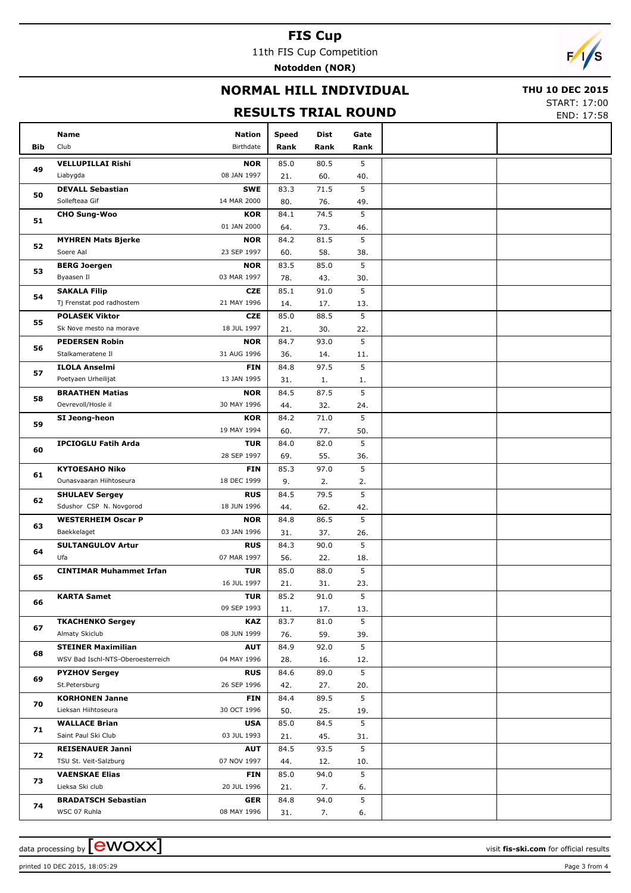11th FIS Cup Competition

**Notodden (NOR)**



## **NORMAL HILL INDIVIDUAL**

#### **THU 10 DEC 2015**

## **RESULTS TRIAL ROUND**

START: 17:00 END: 17:58

|            |                                       |                           |             |             |          | LIND. 17.JO |
|------------|---------------------------------------|---------------------------|-------------|-------------|----------|-------------|
|            | Name                                  | <b>Nation</b>             | Speed       | <b>Dist</b> | Gate     |             |
| <b>Bib</b> | Club                                  | Birthdate                 | Rank        | Rank        | Rank     |             |
| 49         | <b>VELLUPILLAI Rishi</b>              | <b>NOR</b>                | 85.0        | 80.5        | 5        |             |
|            | Liabygda                              | 08 JAN 1997               | 21.         | 60.         | 40.      |             |
| 50         | <b>DEVALL Sebastian</b>               | <b>SWE</b>                | 83.3        | 71.5        | 5        |             |
|            | Sollefteaa Gif                        | 14 MAR 2000               | 80.         | 76.         | 49.      |             |
| 51         | <b>CHO Sung-Woo</b>                   | <b>KOR</b>                | 84.1        | 74.5        | 5        |             |
|            |                                       | 01 JAN 2000               | 64.         | 73.         | 46.      |             |
| 52         | <b>MYHREN Mats Bjerke</b>             | <b>NOR</b>                | 84.2        | 81.5        | 5        |             |
|            | Soere Aal                             | 23 SEP 1997               | 60.         | 58.         | 38.      |             |
| 53         | <b>BERG Joergen</b>                   | <b>NOR</b>                | 83.5        | 85.0        | 5        |             |
|            | Byaasen Il                            | 03 MAR 1997               | 78.         | 43.         | 30.      |             |
| 54         | <b>SAKALA Filip</b>                   | <b>CZE</b>                | 85.1        | 91.0        | 5        |             |
|            | Tj Frenstat pod radhostem             | 21 MAY 1996               | 14.         | 17.         | 13.      |             |
| 55         | <b>POLASEK Viktor</b>                 | <b>CZE</b>                | 85.0        | 88.5        | 5        |             |
|            | Sk Nove mesto na morave               | 18 JUL 1997               | 21.         | 30.         | 22.      |             |
| 56         | <b>PEDERSEN Robin</b>                 | <b>NOR</b>                | 84.7        | 93.0        | 5        |             |
|            | Stalkameratene Il                     | 31 AUG 1996               | 36.         | 14.         | 11.      |             |
| 57         | <b>ILOLA Anselmi</b>                  | <b>FIN</b>                | 84.8        | 97.5        | 5        |             |
|            | Poetyaen Urheilijat                   | 13 JAN 1995               | 31.         | 1.          | 1.       |             |
| 58         | <b>BRAATHEN Matias</b>                | <b>NOR</b>                | 84.5        | 87.5        | 5        |             |
|            | Oevrevoll/Hosle il                    | 30 MAY 1996               | 44.         | 32.         | 24.      |             |
| 59         | SI Jeong-heon                         | <b>KOR</b>                | 84.2        | 71.0        | 5        |             |
| 60<br>61   |                                       | 19 MAY 1994               | 60.         | 77.         | 50.      |             |
|            | <b>IPCIOGLU Fatih Arda</b>            | <b>TUR</b>                | 84.0        | 82.0        | 5        |             |
|            |                                       | 28 SEP 1997               | 69.         | 55.         | 36.      |             |
|            | <b>KYTOESAHO Niko</b>                 | <b>FIN</b>                | 85.3        | 97.0        | 5        |             |
|            | Ounasvaaran Hiihtoseura               | 18 DEC 1999               | 9.          | 2.          | 2.       |             |
| 62         | <b>SHULAEV Sergey</b>                 | <b>RUS</b>                | 84.5        | 79.5        | 5        |             |
|            | Sdushor CSP N. Novgorod               | 18 JUN 1996               | 44.         | 62.         | 42.      |             |
| 63         | <b>WESTERHEIM Oscar P</b>             | <b>NOR</b>                | 84.8        | 86.5        | 5        |             |
|            | Baekkelaget                           | 03 JAN 1996               | 31.         | 37.         | 26.      |             |
| 64         | <b>SULTANGULOV Artur</b>              | <b>RUS</b>                | 84.3        | 90.0        | 5        |             |
|            | Ufa                                   | 07 MAR 1997               | 56.         | 22.         | 18.      |             |
| 65         | <b>CINTIMAR Muhammet Irfan</b>        | TUR                       | 85.0        | 88.0        | 5        |             |
|            |                                       | 16 JUL 1997               | 21.         | 31.         | 23.      |             |
| 66         | <b>KARTA Samet</b>                    | <b>TUR</b><br>09 SEP 1993 | 85.2        | 91.0        | 5        |             |
|            | <b>TKACHENKO Sergey</b>               | KAZ                       | 11.<br>83.7 | 17.<br>81.0 | 13.<br>5 |             |
| 67         | Almaty Skiclub                        | 08 JUN 1999               | 76.         | 59.         | 39.      |             |
|            | <b>STEINER Maximilian</b>             | <b>AUT</b>                | 84.9        | 92.0        | 5        |             |
| 68         | WSV Bad Ischl-NTS-Oberoesterreich     | 04 MAY 1996               | 28.         | 16.         | 12.      |             |
|            |                                       | <b>RUS</b>                |             |             | 5        |             |
| 69         | <b>PYZHOV Sergey</b><br>St.Petersburg | 26 SEP 1996               | 84.6<br>42. | 89.0<br>27. | 20.      |             |
|            | <b>KORHONEN Janne</b>                 | <b>FIN</b>                | 84.4        | 89.5        | 5        |             |
| 70         | Lieksan Hiihtoseura                   | 30 OCT 1996               | 50.         | 25.         | 19.      |             |
|            | <b>WALLACE Brian</b>                  | <b>USA</b>                | 85.0        | 84.5        | 5        |             |
| 71         | Saint Paul Ski Club                   | 03 JUL 1993               | 21.         | 45.         | 31.      |             |
| 72         | <b>REISENAUER Janni</b>               | <b>AUT</b>                | 84.5        | 93.5        | 5        |             |
|            | TSU St. Veit-Salzburg                 | 07 NOV 1997               | 44.         | 12.         | 10.      |             |
|            | <b>VAENSKAE Elias</b>                 | <b>FIN</b>                | 85.0        | 94.0        | 5        |             |
| 73         | Lieksa Ski club                       | 20 JUL 1996               | 21.         | 7.          | 6.       |             |
|            | <b>BRADATSCH Sebastian</b>            | GER                       | 84.8        | 94.0        | 5        |             |
| 74         | WSC 07 Ruhla                          | 08 MAY 1996               | 31.         | 7.          | 6.       |             |
|            |                                       |                           |             |             |          |             |

printed 10 DEC 2015, 18:05:29 Page 3 from 4

data processing by **CWOXX**  $\blacksquare$